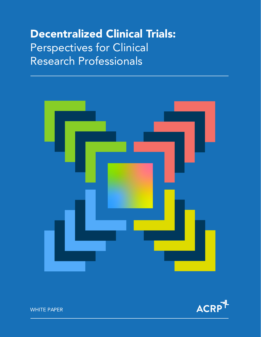# Decentralized Clinical Trials: Perspectives for Clinical Research Professionals





WHITE PAPER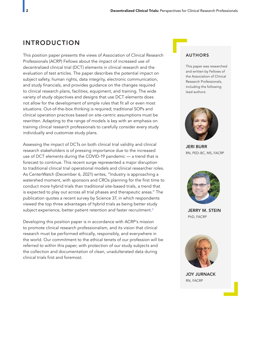## INTRODUCTION

This position paper presents the views of Association of Clinical Research Professionals (ACRP) Fellows about the impact of increased use of decentralized clinical trial (DCT) elements in clinical research and the evaluation of test articles. The paper describes the potential impact on subject safety, human rights, data integrity, electronic communication, and study financials, and provides guidance on the changes required to clinical research plans, facilities, equipment, and training. The wide variety of study objectives and designs that use DCT elements does not allow for the development of simple rules that fit all or even most situations. Out-of-the-box thinking is required; traditional SOPs and clinical operation practices based on site-centric assumptions must be rewritten. Adapting to the range of models is key with an emphasis on training clinical research professionals to carefully consider every study individually and customize study plans.

Assessing the impact of DCTs on both clinical trial validity and clinical research stakeholders is of pressing importance due to the increased use of DCT elements during the COVID-19 pandemic — a trend that is forecast to continue. This recent surge represented a major disruption to traditional clinical trial operational models and clinical researcher roles. As CenterWatch (December 6, 2021) writes, "Industry is approaching a watershed moment, with sponsors and CROs planning for the first time to conduct more hybrid trials than traditional site-based trials, a trend that is expected to play out across all trial phases and therapeutic areas." The publication quotes a recent survey by Science 37, in which respondents viewed the top three advantages of hybrid trials as being better study subject experience, better patient retention and faster recruitment.<sup>2</sup>

Developing this position paper is in accordance with ACRP's mission to promote clinical research professionalism, and its vision that clinical research must be performed ethically, responsibly, and everywhere in the world. Our commitment to the ethical tenets of our profession will be referred to within this paper, with protection of our study subjects and the collection and documentation of clean, unadulterated data during clinical trials first and foremost.

#### AUTHORS

This paper was researched and written by Fellows of the Association of Clinical Research Professionals, including the following lead authors:



JERI BURR RN, PED-BC, MS, FACRP



JERRY M. STEIN PhD, FACRP



JOY JURNACK RN, FACRP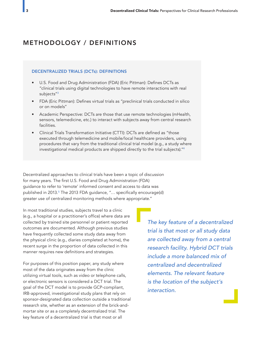# METHODOLOGY / DEFINITIONS

#### DECENTRALIZED TRIALS (DCTs): DEFINITIONS

- U.S. Food and Drug Administration (FDA) (Eric Pittman): Defines DCTs as "clinical trials using digital technologies to have remote interactions with real subjects"<sup>3</sup>
- FDA (Eric Pittman): Defines virtual trials as "preclinical trials conducted in silico or on models"
- Academic Perspective: DCTs are those that use remote technologies (mHealth, sensors, telemedicine, etc.) to interact with subjects away from central research facilities.
- Clinical Trials Transformation Initiative (CTTI): DCTs are defined as "those executed through telemedicine and mobile/local healthcare providers, using procedures that vary from the traditional clinical trial model (e.g., a study where investigational medical products are shipped directly to the trial subjects)."<sup>4</sup>

Decentralized approaches to clinical trials have been a topic of discussion for many years. The first U.S. Food and Drug Administration (FDA) guidance to refer to 'remote' informed consent and access to data was published in 2013.<sup>5</sup> The 2013 FDA guidance, "... specifically encourage(d) greater use of centralized monitoring methods where appropriate."

In most traditional studies, subjects travel to a clinic (e.g., a hospital or a practitioner's office) where data are collected by trained site personnel or patient reported outcomes are documented. Although previous studies have frequently collected some study data away from the physical clinic (e.g., diaries completed at home), the recent surge in the proportion of data collected in this manner requires new definitions and strategies.

For purposes of this position paper, any study where most of the data originates away from the clinic utilizing virtual tools, such as video or telephone calls, or electronic sensors is considered a DCT trial. The goal of the DCT model is to provide GCP-compliant, IRB-approved, investigational study plans that rely on sponsor-designated data collection outside a traditional research site, whether as an extension of the brick-andmortar site or as a completely decentralized trial. The key feature of a decentralized trial is that most or all

*The key feature of a decentralized trial is that most or all study data are collected away from a central research facility. Hybrid DCT trials include a more balanced mix of centralized and decentralized elements. The relevant feature is the location of the subject's interaction.*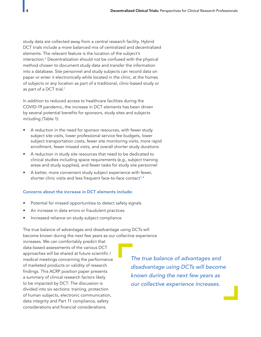study data are collected away from a central research facility. Hybrid DCT trials include a more balanced mix of centralized and decentralized elements. The relevant feature is the location of the subject's interaction.<sup>6</sup> Decentralization should not be confused with the physical method chosen to document study data and transfer the information into a database. Site personnel and study subjects can record data on paper or enter it electronically while located in the clinic, at the homes of subjects or any location as part of a traditional, clinic-based study or as part of a DCT trial.<sup>7</sup>

In addition to reduced access to healthcare facilities during the COVID-19 pandemic, the increase in DCT elements has been driven by several potential benefits for sponsors, study sites and subjects including (Table 1):

- A reduction in the need for sponsor resources, with fewer study subject site visits, lower professional service fee budgets, lower subject transportation costs, fewer site monitoring visits, more rapid enrollment, fewer missed visits, and overall shorter study durations
- A reduction in study site resources that need to be dedicated to clinical studies including space requirements (e.g., subject training areas and study supplies), and fewer tasks for study site personnel
- A better, more convenient study subject experience with fewer, shorter clinic visits and less frequent face-to-face contact<sup>7, 8</sup>

#### Concerns about the increase in DCT elements include:

- Potential for missed opportunities to detect safety signals
- An increase in data errors or fraudulent practices
- Increased reliance on study subject compliance

The true balance of advantages and disadvantage using DCTs will become known during the next few years as our collective experience

increases. We can comfortably predict that data-based assessments of the various DCT approaches will be shared at future scientific / medical meetings concerning the performance of marketed products or validity of research findings. This ACRP position paper presents a summary of clinical research factors likely to be impacted by DCT. The discussion is divided into six sections: training, protection of human subjects, electronic communication, data integrity and Part 11 compliance, safety considerations and financial considerations.

*The true balance of advantages and disadvantage using DCTs will become known during the next few years as our collective experience increases.*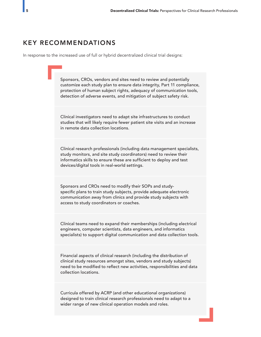# KEY RECOMMENDATIONS

In response to the increased use of full or hybrid decentralized clinical trial designs:

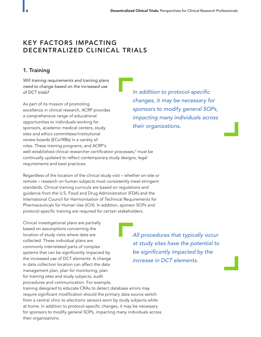# KEY FACTORS IMPACTING DECENTRALIZED CLINICAL TRIALS

## 1. Training

*Will training requirements and training plans need to change based on the increased use of DCT trials?* 

As part of its mission of promoting excellence in clinical research, ACRP provides a comprehensive range of educational opportunities to individuals working for sponsors, academic medical centers, study sites and ethics committees/institutional review boards (ECs/IRBs) in a variety of roles. These training programs, and ACRP's well-established clinical researcher certification processes, $^{\circ}$  must be  $^{\circ}$ continually updated to reflect contemporary study designs, legal requirements and best practices.

In addition to protocol-specific *changes, it may be necessary for sponsors to modify general SOPs, impacting many individuals across their organizations.*

Regardless of the location of the clinical study visit – whether on-site or remote – research on human subjects must consistently meet stringent standards. Clinical training curricula are based on regulations and guidance from the U.S. Food and Drug Administration (FDA) and the International Council for Harmonisation of Technical Requirements for Pharmaceuticals for Human Use (ICH). In addition, sponsor SOPs and protocol-specific training are required for certain stakeholders.

Clinical investigational plans are partially based on assumptions concerning the location of study visits where data are collected. These individual plans are commonly interrelated parts of complex systems that can be significantly impacted by the increased use of DCT elements. A change in data collection location can affect the data management plan, plan for monitoring, plan for training sites and study subjects, audit procedures and communication. For example,

*All procedures that typically occur at study sites have the potential to*  be significantly impacted by the *increase in DCT elements.*

training designed to educate CRAs to detect database errors may require significant modification should the primary data source switch from a central clinic to electronic sensors worn by study subjects while at home. In addition to protocol-specific changes, it may be necessary for sponsors to modify general SOPs, impacting many individuals across their organizations.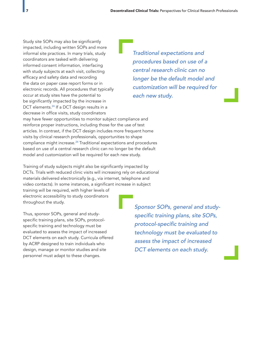Study site SOPs may also be significantly impacted, including written SOPs and more informal site practices. In many trials, study coordinators are tasked with delivering informed consent information, interfacing with study subjects at each visit, collecting efficacy and safety data and recording the data on paper case report forms or in electronic records. All procedures that typically occur at study sites have the potential to be significantly impacted by the increase in DCT elements.<sup>24</sup> If a DCT design results in a decrease in office visits, study coordinators may have fewer opportunities to monitor subject compliance and reinforce proper instructions, including those for the use of test articles. In contrast, if the DCT design includes more frequent home visits by clinical research professionals, opportunities to shape compliance might increase.<sup>24</sup> Traditional expectations and procedures based on use of a central research clinic can no longer be the default model and customization will be required for each new study.

Training of study subjects might also be significantly impacted by DCTs. Trials with reduced clinic visits will increasing rely on educational materials delivered electronically (e.g., via internet, telephone and video contacts). In some instances, a significant increase in subject training will be required, with higher levels of electronic accessibility to study coordinators throughout the study.

Thus, sponsor SOPs, general and studyspecific training plans, site SOPs, protocolspecific training and technology must be evaluated to assess the impact of increased DCT elements on each study. Curricula offered by ACRP designed to train individuals who design, manage or monitor studies and site personnel must adapt to these changes.

*Sponsor SOPs, general and study*specific training plans, site SOPs, protocol-specific training and *technology must be evaluated to assess the impact of increased DCT elements on each study.*

*Traditional expectations and procedures based on use of a central research clinic can no longer be the default model and customization will be required for each new study.*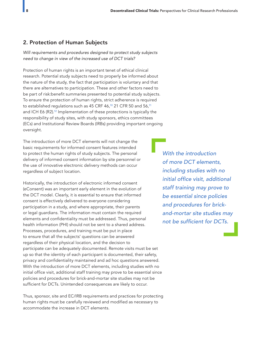## 2. Protection of Human Subjects

*Will requirements and procedures designed to protect study subjects need to change in view of the increased use of DCT trials?* 

Protection of human rights is an important tenet of ethical clinical research. Potential study subjects need to properly be informed about the nature of the study, the fact that participation is voluntary and that there are alternatives to participation. These and other factors need to be part of risk:benefit summaries presented to potential study subjects. To ensure the protection of human rights, strict adherence is required to established regulations such as 45 CRF 46,<sup>10</sup> 21 CFR 50 and 56,<sup>11</sup> and ICH E6 (R2).<sup>12</sup> Implementation of these protections is typically the responsibility of study sites, with study sponsors, ethics committees (ECs) and Institutional Review Boards (IRBs) providing important ongoing oversight.

The introduction of more DCT elements will not change the basic requirements for informed consent features intended to protect the human rights of study subjects. The personal delivery of informed consent information by site personnel or the use of innovative electronic delivery methods can occur regardless of subject location.

Historically, the introduction of electronic informed consent (eConsent) was an important early element in the evolution of the DCT model. Clearly, it is essential to ensure that informed consent is effectively delivered to everyone considering participation in a study, and where appropriate, their parents or legal guardians. The information must contain the required elements and confidentiality must be addressed. Thus, personal health information (PHI) should not be sent to a shared address. Processes, procedures, and training must be put in place to ensure that all the subjects' questions can be answered regardless of their physical location, and the decision to participate can be adequately documented. Remote visits must be set up so that the identity of each participant is documented, their safety, privacy and confidentiality maintained and ad hoc questions answered. With the introduction of more DCT elements, including studies with no initial office visit, additional staff training may prove to be essential since policies and procedures for brick-and-mortar site studies may not be sufficient for DCTs. Unintended consequences are likely to occur.

Thus, sponsor, site and EC/IRB requirements and practices for protecting human rights must be carefully reviewed and modified as necessary to accommodate the increase in DCT elements.

*With the introduction of more DCT elements, including studies with no*  initial office visit, additional *staff training may prove to be essential since policies and procedures for brickand-mortar site studies may*  not be sufficient for DCTs.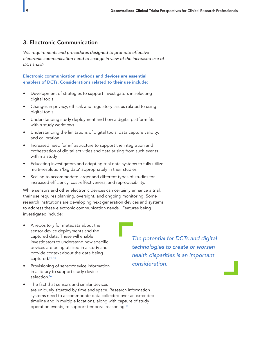## 3. Electronic Communication

*Will requirements and procedures designed to promote effective electronic communication need to change in view of the increased use of DCT trials?* 

Electronic communication methods and devices are essential enablers of DCTs. Considerations related to their use include:

- Development of strategies to support investigators in selecting digital tools
- Changes in privacy, ethical, and regulatory issues related to using digital tools
- Understanding study deployment and how a digital platform fits within study workflows
- Understanding the limitations of digital tools, data capture validity, and calibration
- Increased need for infrastructure to support the integration and orchestration of digital activities and data arising from such events within a study
- Educating investigators and adapting trial data systems to fully utilize multi-resolution 'big data' appropriately in their studies
- Scaling to accommodate larger and different types of studies for increased efficiency, cost-effectiveness, and reproducibility.

While sensors and other electronic devices can certainly enhance a trial, their use requires planning, oversight, and ongoing monitoring. Some research institutions are developing next generation devices and systems to address these electronic communication needs. Features being investigated include:

- A repository for metadata about the sensor device deployments and the captured data. These will enable investigators to understand how specific devices are being utilized in a study and provide context about the data being captured.14, 15
- Provisioning of sensor/device information in a library to support study device selection.<sup>16</sup>

The fact that sensors and similar devices are uniquely situated by time and space. Research information systems need to accommodate data collected over an extended timeline and in multiple locations, along with capture of study operation events, to support temporal reasoning.<sup>17</sup>

*The potential for DCTs and digital technologies to create or worsen health disparities is an important consideration.*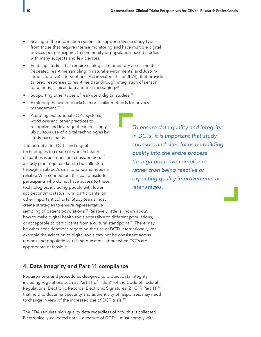- Scaling of the information systems to support diverse study types, from those that require intense monitoring and have multiple digital devices per participant, to community or population-based studies with many subjects and few devices.
- Enabling studies that require ecological momentary assessments (repeated real-time sampling in natural environments) and Just-In-Time (adaptive) interventions (Abbreviated JITI or JITAI) that provide tailored responses to real-time data through integration of sensor data feeds, clinical data and text messaging.<sup>21</sup>
- Supporting other types of real-world digital studies.<sup>22</sup>
- Exploring the use of blockchain or similar methods for privacy management.<sup>23</sup>
- Adapting institutional SOPs, systems, workflows and other practices to recognize and leverage the increasingly ubiquitous use of digital technologies by study participants.

The potential for DCTs and digital technologies to create or worsen health disparities is an important consideration. If a study plan requires data to be collected through a subject's smartphone and needs a reliable WiFi connection, this could exclude participants who do not have access to these technologies, including people with lower socioeconomic status, rural participants, or other important cohorts. Study teams must create strategies to ensure representative

sampling of patient populations.<sup>24</sup> Relatively little is known about how to make digital health tools accessible to different populations, or acceptable to participants from a cultural standpoint.<sup>25</sup> There may be other considerations regarding the use of DCTs internationally, for example the adoption of digital tools may not be consistent across regions and populations, raising questions about when DCTs are appropriate or feasible.

## 4. Data Integrity and Part 11 compliance

Requirements and procedures designed to protect data integrity, including regulations such as Part 11 of Title 21 of the Code of Federal Regulations; Electronic Records; Electronic Signatures (21 CFR Part 11)<sup>26</sup> that help to document security and authenticity of responses, may need to change in view of the increased use of DCT trials.<sup>27</sup>

The FDA requires high quality data regardless of how this is collected. Electronically-collected data – a feature of DCTs – must comply with

*To ensure data quality and integrity in DCTs, it is important that study sponsors and sites focus on building quality into the entire process through proactive compliance rather than being reactive or expecting quality improvements at later stages.*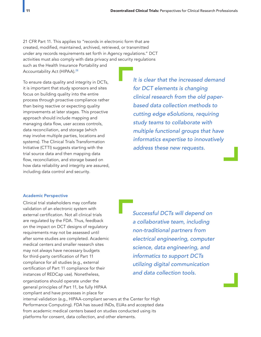21 CFR Part 11. This applies to "records in electronic form that are created, modified, maintained, archived, retrieved, or transmitted under any records requirements set forth in Agency regulations." DCT activities must also comply with data privacy and security regulations

such as the Health Insurance Portability and Accountability Act (HIPAA).<sup>28</sup>

To ensure data quality and integrity in DCTs, it is important that study sponsors and sites focus on building quality into the entire process through proactive compliance rather than being reactive or expecting quality improvements at later stages. This proactive approach should include mapping and managing data flow, user access controls, data reconciliation, and storage (which may involve multiple parties, locations and systems). The Clinical Trials Transformation Initiative (CTTI) suggests starting with the trial source data and then mapping data flow, reconciliation, and storage based on how data reliability and integrity are assured, including data control and security.

*It is clear that the increased demand for DCT elements is changing clinical research from the old paperbased data collection methods to cutting edge eSolutions, requiring study teams to collaborate with multiple functional groups that have informatics expertise to innovatively address these new requests.*

#### Academic Perspective

Clinical trial stakeholders may conflate validation of an electronic system with external certification. Not all clinical trials are regulated by the FDA. Thus, feedback on the impact on DCT designs of regulatory requirements may not be assessed until after some studies are completed. Academic medical centers and smaller research sites may not always have necessary budgets for third-party certification of Part 11 compliance for all studies (e.g., external certification of Part 11 compliance for their instances of REDCap use). Nonetheless, organizations should operate under the general principles of Part 11, be fully HIPAA compliant and have processes in place for

*Successful DCTs will depend on a collaborative team, including non-traditional partners from electrical engineering, computer science, data engineering, and informatics to support DCTs utilizing digital communication and data collection tools.*

internal validation (e.g., HIPAA-compliant servers at the Center for High Performance Computing). FDA has issued INDs, EUAs and accepted data from academic medical centers based on studies conducted using its platforms for consent, data collection, and other elements.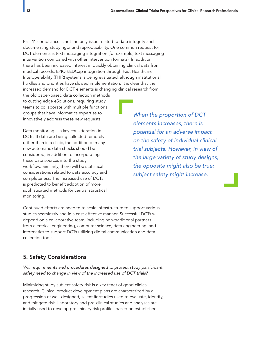Part 11 compliance is not the only issue related to data integrity and documenting study rigor and reproducibility. One common request for DCT elements is text messaging integration (for example, text messaging intervention compared with other intervention formats). In addition, there has been increased interest in quickly obtaining clinical data from medical records. EPIC-REDCap integration through Fast Healthcare Interoperability (FHIR) systems is being evaluated, although institutional hurdles and priorities have slowed implementation. It is clear that the increased demand for DCT elements is changing clinical research from

the old paper-based data collection methods to cutting edge eSolutions, requiring study teams to collaborate with multiple functional groups that have informatics expertise to innovatively address these new requests.

Data monitoring is a key consideration in DCTs. If data are being collected remotely rather than in a clinic, the addition of many new automatic data checks should be considered, in addition to incorporating these data sources into the study workflow. Similarly, there will be statistical considerations related to data accuracy and completeness. The increased use of DCTs is predicted to benefit adoption of more sophisticated methods for central statistical monitoring.

*When the proportion of DCT elements increases, there is potential for an adverse impact on the safety of individual clinical trial subjects. However, in view of the large variety of study designs, the opposite might also be true: subject safety might increase.*

Continued efforts are needed to scale infrastructure to support various studies seamlessly and in a cost-effective manner. Successful DCTs will depend on a collaborative team, including non-traditional partners from electrical engineering, computer science, data engineering, and informatics to support DCTs utilizing digital communication and data collection tools.

## 5. Safety Considerations

*Will requirements and procedures designed to protect study participant safety need to change in view of the increased use of DCT trials?* 

Minimizing study subject safety risk is a key tenet of good clinical research. Clinical product development plans are characterized by a progression of well-designed, scientific studies used to evaluate, identify, and mitigate risk. Laboratory and pre-clinical studies and analyses are initially used to develop preliminary risk profiles based on established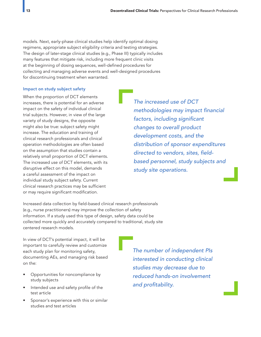models. Next, early-phase clinical studies help identify optimal dosing regimens, appropriate subject eligibility criteria and testing strategies. The design of later-stage clinical studies (e.g., Phase III) typically includes many features that mitigate risk, including more frequent clinic visits at the beginning of dosing sequences, well-defined procedures for collecting and managing adverse events and well-designed procedures for discontinuing treatment when warranted.

#### Impact on study subject safety

When the proportion of DCT elements increases, there is potential for an adverse impact on the safety of individual clinical trial subjects. However, in view of the large variety of study designs, the opposite might also be true: subject safety might increase. The education and training of clinical research professionals and clinical operation methodologies are often based on the assumption that studies contain a relatively small proportion of DCT elements. The increased use of DCT elements, with its disruptive effect on this model, demands a careful assessment of the impact on individual study subject safety. Current clinical research practices may be sufficient or may require significant modification.

*The increased use of DCT*  methodologies may impact financial factors, including significant *changes to overall product development costs, and the distribution of sponsor expenditures*  directed to vendors, sites, field*based personnel, study subjects and study site operations.*

Increased data collection by field-based clinical research professionals (e.g., nurse practitioners) may improve the collection of safety information. If a study used this type of design, safety data could be collected more quickly and accurately compared to traditional, study site centered research models.

In view of DCT's potential impact, it will be important to carefully review and customize each study plan for monitoring safety, documenting AEs, and managing risk based on the:

- Opportunities for noncompliance by study subjects
- Intended use and safety profile of the test article
- Sponsor's experience with this or similar studies and test articles

*The number of independent PIs interested in conducting clinical studies may decrease due to reduced hands-on involvement*  and profitability.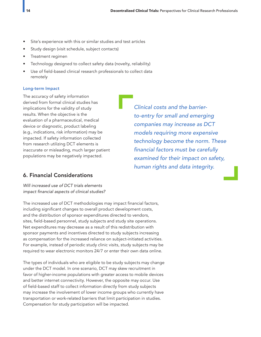- Site's experience with this or similar studies and test articles
- Study design (visit schedule, subject contacts)
- Treatment regimen
- Technology designed to collect safety data (novelty, reliability)
- Use of field-based clinical research professionals to collect data remotely

#### Long-term Impact

The accuracy of safety information derived from formal clinical studies has implications for the validity of study results. When the objective is the evaluation of a pharmaceutical, medical device or diagnostic, product labeling (e.g., indications, risk information) may be impacted. If safety information collected from research utilizing DCT elements is inaccurate or misleading, much larger patient populations may be negatively impacted.

*Clinical costs and the barrierto-entry for small and emerging companies may increase as DCT models requiring more expensive technology become the norm. These*  financial factors must be carefully *examined for their impact on safety, human rights and data integrity.*

## 6. Financial Considerations

*Will increased use of DCT trials elements*  impact financial aspects of clinical studies?

The increased use of DCT methodologies may impact financial factors, including significant changes to overall product development costs, and the distribution of sponsor expenditures directed to vendors, sites, field-based personnel, study subjects and study site operations. Net expenditures may decrease as a result of this redistribution with sponsor payments and incentives directed to study subjects increasing as compensation for the increased reliance on subject-initiated activities. For example, instead of periodic study clinic visits, study subjects may be required to wear electronic monitors 24/7 or enter their own data online.

The types of individuals who are eligible to be study subjects may change under the DCT model. In one scenario, DCT may skew recruitment in favor of higher-income populations with greater access to mobile devices and better internet connectivity. However, the opposite may occur. Use of field-based staff to collect information directly from study subjects may increase the involvement of lower income groups who currently have transportation or work-related barriers that limit participation in studies. Compensation for study participation will be impacted.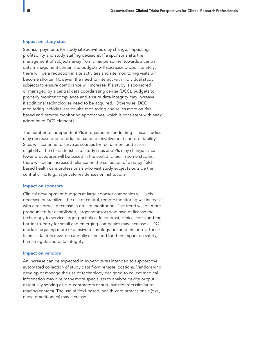#### Impact on study sites

Sponsor payments for study site activities may change, impacting profitability and study staffing decisions. If a sponsor shifts the management of subjects away from clinic personnel towards a central data management center, site budgets will decrease proportionately; there will be a reduction in site activities and site monitoring visits will become shorter. However, the need to interact with individual study subjects to ensure compliance will increase. If a study is sponsored or managed by a central data coordinating center (DCC), budgets to properly monitor compliance and ensure data integrity may increase if additional technologies need to be acquired. Otherwise, DCC monitoring includes less on-site monitoring and relies more on riskbased and remote monitoring approaches, which is consistent with early adoption of DCT elements.

The number of independent PIs interested in conducting clinical studies may decrease due to reduced hands-on involvement and profitability. Sites will continue to serve as sources for recruitment and assess eligibility. The characteristics of study sites and PIs may change since fewer procedures will be based in the central clinic. In some studies, there will be an increased reliance on the collection of data by fieldbased health care professionals who visit study subjects outside the central clinic (e.g., at private residences or institutions).

#### Impact on sponsors

Clinical development budgets at large sponsor companies will likely decrease or stabilize. The use of central, remote monitoring will increase, with a reciprocal decrease in on-site monitoring. This trend will be more pronounced for established, larger sponsors who own or license the technology to service larger portfolios. In contrast, clinical costs and the barrier-to-entry for small and emerging companies may increase as DCT models requiring more expensive technology become the norm. These financial factors must be carefully examined for their impact on safety, human rights and data integrity.

#### Impact on vendors

An increase can be expected in expenditures intended to support the automated collection of study data from remote locations. Vendors who develop or manage the use of technology designed to collect medical information may hire many more specialists to analyze device output, essentially serving as sub-contractors or sub-investigators (similar to reading centers). The use of field-based, health-care professionals (e.g., nurse practitioners) may increase.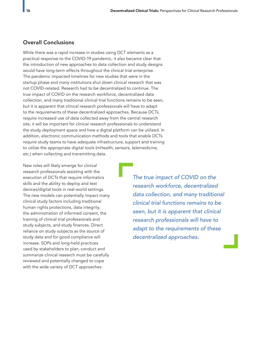## Overall Conclusions

While there was a rapid increase in studies using DCT elements as a practical response to the COVID-19 pandemic, it also became clear that the introduction of new approaches to data collection and study designs would have long-term effects throughout the clinical trial enterprise. The pandemic impacted timelines for new studies that were in the startup phase and many institutions shut down clinical research that was not COVID-related. Research had to be decentralized to continue. The true impact of COVID on the research workforce, decentralized data collection, and many traditional clinical trial functions remains to be seen, but it is apparent that clinical research professionals will have to adapt to the requirements of these decentralized approaches. Because DCTs require increased use of data collected away from the central research site, it will be important for clinical research professionals to understand the study deployment space and how a digital platform can be utilized. In addition, electronic communication methods and tools that enable DCTs require study teams to have adequate infrastructure, support and training to utilize the appropriate digital tools (mHealth, sensors, telemedicine, etc.) when collecting and transmitting data.

New roles will likely emerge for clinical research professionals assisting with the execution of DCTs that require informatics skills and the ability to deploy and test devices/digital tools in real-world settings. The new models can potentially impact many clinical study factors including traditional human rights protections, data integrity, the administration of informed consent, the training of clinical trial professionals and study subjects, and study finances. Direct reliance on study subjects as the source of study data and for good compliance will increase. SOPs and long-held practices used by stakeholders to plan, conduct and summarize clinical research must be carefully reviewed and potentially changed to cope with the wide variety of DCT approaches.

*The true impact of COVID on the research workforce, decentralized data collection, and many traditional clinical trial functions remains to be seen, but it is apparent that clinical research professionals will have to adapt to the requirements of these decentralized approaches.*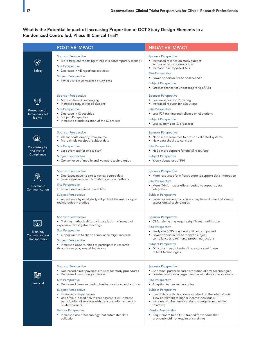## What is the Potential Impact of Increasing Proportion of DCT Study Design Elements in a Randomized Controlled, Phase III Clinical Trial?

|                                             | <b>POSITIVE IMPACT</b>                                                                                                                                                                                                                                                                                                                                                                                                                                                                                                        | <b>NEGATIVE IMPACT</b>                                                                                                                                                                                                                                                                                                                                                                                                                                                                                                                                                              |
|---------------------------------------------|-------------------------------------------------------------------------------------------------------------------------------------------------------------------------------------------------------------------------------------------------------------------------------------------------------------------------------------------------------------------------------------------------------------------------------------------------------------------------------------------------------------------------------|-------------------------------------------------------------------------------------------------------------------------------------------------------------------------------------------------------------------------------------------------------------------------------------------------------------------------------------------------------------------------------------------------------------------------------------------------------------------------------------------------------------------------------------------------------------------------------------|
| Safety                                      | <b>Sponsor Perspective</b><br>• More frequent reporting of AEs in a contemporary manner.<br><b>Site Perspective</b><br>• Decrease in AE reporting activities<br><b>Subject Perspective</b><br>• Fewer visits to centralized study sites                                                                                                                                                                                                                                                                                       | <b>Sponsor Perspective</b><br>• Increased reliance on study subject<br>actions to report safety issues<br>• Increase in unreported AEs<br><b>Site Perspective</b><br>• Fewer opportunities to observe AEs<br><b>Subject Perspective</b><br>• Greater chance for under-reporting of AEs                                                                                                                                                                                                                                                                                              |
| Protection of<br>Human Subject<br>Rights    | <b>Sponsor Perspective</b><br>• More uniform IC messaging<br>Increased request for eSolutions<br>٠<br><b>Site Perspective</b><br>• Decrease in IC activities<br>Subject Perspective<br>Increased standardization of the IC process                                                                                                                                                                                                                                                                                            | <b>Sponsor Perspective</b><br>• Less in-person GCP training<br>• Increased request for eSolutions<br><b>Site Perspective</b><br>• Less F2F training and reliance on eSolutions<br><b>Subject Perspective</b><br>• Less customized IC processes                                                                                                                                                                                                                                                                                                                                      |
| Data Integrity<br>and Part 11<br>Compliance | <b>Sponsor Perspective</b><br>Cleaner data directly from source<br>٠<br>More timely receipt of subject data<br>٠<br><b>Site Perspective</b><br>• Less overhead for onsite staff<br><b>Subject Perspective</b><br>• Convenience of mobile and wearable technologies                                                                                                                                                                                                                                                            | <b>Sponsor Perspective</b><br>• Need more resources to provide validated systems<br>• New data checks to consider<br><b>Site Perspective</b><br>• Need more support for digital resources<br><b>Subject Perspective</b><br>• Worry about loss of PHI                                                                                                                                                                                                                                                                                                                                |
| Electronic<br>Communication                 | <b>Sponsor Perspective</b><br>• Decreases travel to site to review source data<br>• Sensors enhance regular data collection methods<br><b>Site Perspective</b><br>• Source data received in real time<br><b>Subject Perspective</b><br>• Acceptance by most study subjects of the use of digital<br>technologies in studies                                                                                                                                                                                                   | <b>Sponsor Perspective</b><br>• More resources for infrastructure to support data integration<br><b>Site Perspective</b><br>• More IT/informatics effort needed to support data<br>integration<br><b>Subject Perspective</b><br>• Lower socioeconomic classes may be excluded that cannot<br>access digital technologies                                                                                                                                                                                                                                                            |
| Training,<br>Communication<br>Transparency  | <b>Sponsor Perspective</b><br>• Training methods shift to virtual platforms instead of<br>expensive investigator meetings<br><b>Site Perspective</b><br>• Opportunities to shape compliance might increase<br><b>Subject Perspective</b><br>• Increased opportunities to participate in research<br>through everyday wearable devices                                                                                                                                                                                         | <b>Sponsor Perspective</b><br>• CRA training may require significant modification<br><b>Site Perspective</b><br>• Study site SOPs may be significantly impacted<br>• Fewer opportunities to monitor subject<br>compliance and reinforce proper instructions<br><b>Subject Perspective</b><br>• Difficulty in participating if less educated in use<br>of DCT technologies                                                                                                                                                                                                           |
| Financial                                   | <b>Sponsor Perspective</b><br>• Decreased direct payments to sites for study procedures<br>Decreased monitoring expenses<br>٠<br><b>Site Perspective</b><br>• Decreased time devoted to hosting monitors and auditors<br><b>Subject Perspective</b><br>• Increased compensation<br>Use of field-based health care assessors will increase<br>٠<br>participation of subjects with transportation and work-<br>related barriers<br><b>Vendor Perspective</b><br>• Increased use of technology that automates data<br>collection | <b>Sponsor Perspective</b><br>• Adoption, purchase and distribution of new technologies<br>$\bullet$<br>Greater reliance on larger number of data source locations<br><b>Site Perspective</b><br>• Adaption to new technologies<br><b>Subject Perspective</b><br>• Use of data collection devices reliant on the internet may<br>skew enrollment to higher income individuals.<br>• Increase requirements / actions (change from passive<br>to active)<br><b>Vendor Perspective</b><br>• Requirement to be GCP trained for vendors that<br>previously did not require this training |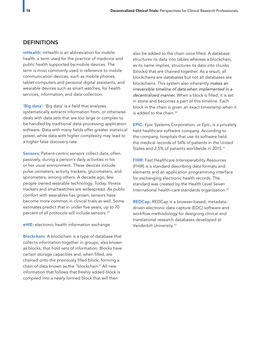### **DEFINITIONS**

mHealth: mHealth is an abbreviation for mobile health, a term used for the practice of medicine and public health supported by mobile devices. The term is most commonly used in reference to mobile communication devices, such as mobile phones, tablet computers and personal digital assistants, and wearable devices such as smart watches, for health services, information, and data collection.

'Big data': 'Big data' is a field that analyzes, systematically extracts information from, or otherwise deals with data sets that are too large or complex to be handled by traditional data-processing application software. Data with many fields offer greater statistical power, while data with higher complexity may lead to a higher false discovery rate.

Sensors: Patient-centric sensors collect data, often passively, during a person's daily activities in his or her usual environment. These devices include pulse oximeters, activity trackers, glucometers, and spirometers, among others. A decade ago, few people owned wearable technology. Today, fitness trackers and smartwatches are widespread. As public comfort with wearables has grown, sensors have become more common in clinical trials as well. Some estimates predict that in under five years, up to 70 percent of all protocols will include sensors.<sup>29</sup>

#### eHIE: electronic health information exchange

Blockchain: A blockchain is a type of database that collects information together in groups, also known as blocks, that hold sets of information. Blocks have certain storage capacities and, when filled, are chained onto the previously filled block, forming a chain of data known as the "blockchain." All new information that follows that freshly added block is compiled into a newly formed block that will then

also be added to the chain once filled. A database structures its data into tables whereas a blockchain, as its name implies, structures its data into chunks (blocks) that are chained together. As a result, all blockchains are databases but not all databases are blockchains. This system also inherently *makes an irreversible timeline of data when implemented in a decentralized manner*. When a block is filled, it is set in stone and becomes a part of this timeline. Each block in the chain is given an exact timestamp when it is added to the chain. $30$ 

EPIC: Epic Systems Corporation, or Epic, is a privately held healthcare software company. According to the company, hospitals that use its software held the medical records of 54% of patients in the United States and 2.5% of patients worldwide in 2015.<sup>31</sup>

**FHIR:** Fast Healthcare Interoperability Resources (FHIR) is a standard describing data formats and elements and an application programming interface for exchanging electronic health records. The standard was created by the Health Level Seven International health-care standards organization.<sup>32</sup>

REDCap: REDCap is a browser-based, metadatadriven electronic data capture (EDC) software and workflow methodology for designing clinical and translational research databases developed at Vanderbilt University.<sup>33</sup>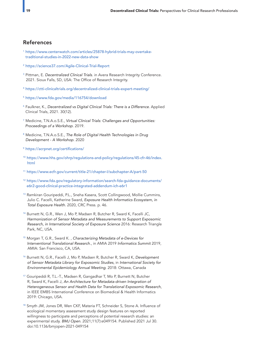## References

- 1 https://www.centerwatch.com/articles/25878-hybrid-trials-may-overtake traditional-studies-in-2022-new-data-show
- 2 https://science37.com/Agile-Clinical-Trial-Report
- <sup>3</sup> Pittman, E. Decentralized Clinical Trials. in Avera Research Integrity Conference. 2021. Sioux Falls, SD, USA: The Office of Research Integrity.
- 4 https://ctti-clinicaltrials.org/decentralized-clinical-trials-expert-meeting/
- 5 https://www.fda.gov/media/116754/download
- <sup>6</sup>Faulkner, K., *Decentralized vs Digital Clinical Trials: There is a Difference*. Applied Clinical Trials, 2021. 30(12).
- <sup>7</sup>Medicine, T.N.A.o.S.E., *Virtual Clinical Trials: Challenges and Opportunities: Proceedings of a Workshop*. 2019.
- <sup>8</sup>Medicine, T.N.A.o.S.E., *The Role of Digital Health Technologies in Drug Development - A Workshop*. 2020
- <sup>9</sup>https://acrpnet.org/certifications/
- <sup>10</sup> https://www.hhs.gov/ohrp/regulations-and-policy/regulations/45-cfr-46/index. html
- 11 https://www.ecfr.gov/current/title-21/chapter-I/subchapter-A/part-50
- 12 https://www.fda.gov/regulatory-information/search-fda-guidance-documents/ e6r2-good-clinical-practice-integrated-addendum-ich-e6r1
- <sup>13</sup> Ramkiran Gouripeddi, P.L., Sneha Kasera, Scott Collingwood, Mollie Cummins, Julio C. Facelli, Katherine Sward, *Exposure Health Informatics Ecosystem, in Total Exposure Health*. 2020, CRC Press. p. 46.
- <sup>14</sup> Burnett N, G.R., Wen J, Mo P, Madsen R, Butcher R, Sward K, Facelli JC, *Harmonization of Sensor Metadata and Measurements to Support Exposomic Research, in International Society of Exposure Science* 2016: Research Triangle Park, NC, USA.
- <sup>15</sup>Morgan T, G.R., Sward K. , *Characterizing Metadata of e-Devices for Interventional Translational Research*., in AMIA 2019 *Informatics Summit* 2019, AMIA: San Francisco, CA, USA.
- <sup>16</sup> Burnett N, G.R., Facelli J, Mo P, Madsen R, Butcher R, Sward K, Development  *of Sensor Metadata Library for Exposomic Studies*, in *International Society for Environmental Epidemiology Annual Meeting*. 2018: Ottawa, Canada
- <sup>17</sup>Gouripeddi R, T.L.-T., Madsen R, Gangadhar T, Mo P, Burnett N, Butcher R, Sward K, Facelli J, *An Architecture for Metadata-driven Integration of Heterogeneous Sensor and Health Data for Translational Exposomic Research*, in IEEE EMBS International Conference on Biomedical & Health Informatics 2019: Chicago, USA.
- 18 Smyth JM, Jones DR, Wen CKF, Materia FT, Schneider S, Stone A. Influence of ecological momentary assessment study design features on reported willingness to participate and perceptions of potential research studies: an experimental study. *BMJ Open*. 2021;11(7):e049154. Published 2021 Jul 30. doi:10.1136/bmjopen-2021-049154